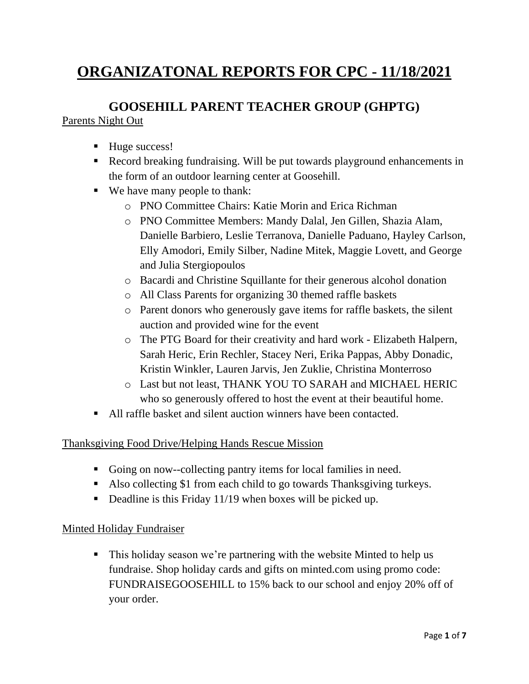# **ORGANIZATONAL REPORTS FOR CPC - 11/18/2021**

# **GOOSEHILL PARENT TEACHER GROUP (GHPTG)**

#### Parents Night Out

- Huge success!
- Record breaking fundraising. Will be put towards playground enhancements in the form of an outdoor learning center at Goosehill.
- We have many people to thank:
	- o PNO Committee Chairs: Katie Morin and Erica Richman
	- o PNO Committee Members: Mandy Dalal, Jen Gillen, Shazia Alam, Danielle Barbiero, Leslie Terranova, Danielle Paduano, Hayley Carlson, Elly Amodori, Emily Silber, Nadine Mitek, Maggie Lovett, and George and Julia Stergiopoulos
	- o Bacardi and Christine Squillante for their generous alcohol donation
	- o All Class Parents for organizing 30 themed raffle baskets
	- o Parent donors who generously gave items for raffle baskets, the silent auction and provided wine for the event
	- o The PTG Board for their creativity and hard work Elizabeth Halpern, Sarah Heric, Erin Rechler, Stacey Neri, Erika Pappas, Abby Donadic, Kristin Winkler, Lauren Jarvis, Jen Zuklie, Christina Monterroso
	- o Last but not least, THANK YOU TO SARAH and MICHAEL HERIC who so generously offered to host the event at their beautiful home.
- All raffle basket and silent auction winners have been contacted.

#### Thanksgiving Food Drive/Helping Hands Rescue Mission

- Going on now--collecting pantry items for local families in need.
- Also collecting \$1 from each child to go towards Thanksgiving turkeys.
- Deadline is this Friday 11/19 when boxes will be picked up.

#### Minted Holiday Fundraiser

■ This holiday season we're partnering with the website Minted to help us fundraise. Shop holiday cards and gifts on minted.com using promo code: FUNDRAISEGOOSEHILL to 15% back to our school and enjoy 20% off of your order.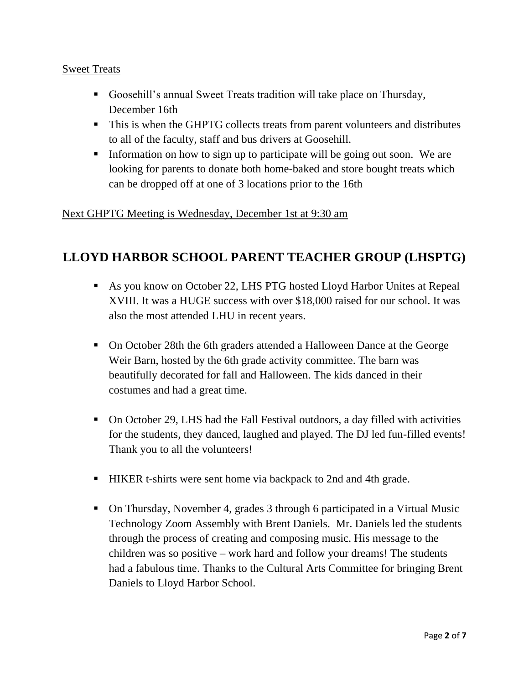#### Sweet Treats

- Goosehill's annual Sweet Treats tradition will take place on Thursday, December 16th
- This is when the GHPTG collects treats from parent volunteers and distributes to all of the faculty, staff and bus drivers at Goosehill.
- **Information on how to sign up to participate will be going out soon.** We are looking for parents to donate both home-baked and store bought treats which can be dropped off at one of 3 locations prior to the 16th

#### Next GHPTG Meeting is Wednesday, December 1st at 9:30 am

# **LLOYD HARBOR SCHOOL PARENT TEACHER GROUP (LHSPTG)**

- As you know on October 22, LHS PTG hosted Lloyd Harbor Unites at Repeal XVIII. It was a HUGE success with over \$18,000 raised for our school. It was also the most attended LHU in recent years.
- On October 28th the 6th graders attended a Halloween Dance at the George Weir Barn, hosted by the 6th grade activity committee. The barn was beautifully decorated for fall and Halloween. The kids danced in their costumes and had a great time.
- On October 29, LHS had the Fall Festival outdoors, a day filled with activities for the students, they danced, laughed and played. The DJ led fun-filled events! Thank you to all the volunteers!
- HIKER t-shirts were sent home via backpack to 2nd and 4th grade.
- On Thursday, November 4, grades 3 through 6 participated in a Virtual Music Technology Zoom Assembly with Brent Daniels. Mr. Daniels led the students through the process of creating and composing music. His message to the children was so positive – work hard and follow your dreams! The students had a fabulous time. Thanks to the Cultural Arts Committee for bringing Brent Daniels to Lloyd Harbor School.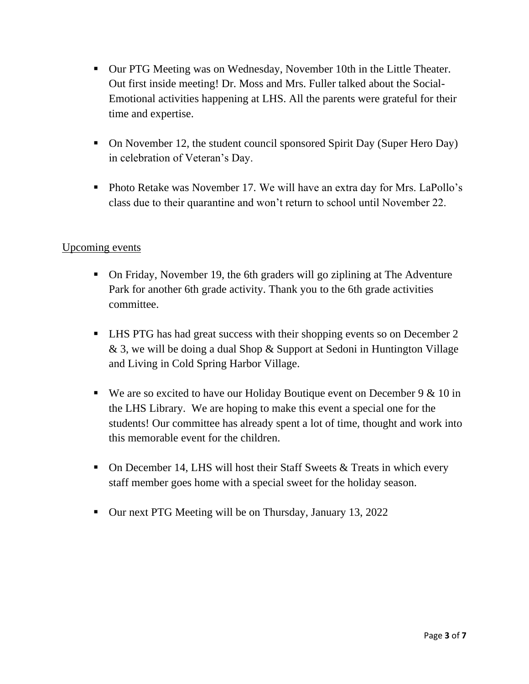- Our PTG Meeting was on Wednesday, November 10th in the Little Theater. Out first inside meeting! Dr. Moss and Mrs. Fuller talked about the Social-Emotional activities happening at LHS. All the parents were grateful for their time and expertise.
- On November 12, the student council sponsored Spirit Day (Super Hero Day) in celebration of Veteran's Day.
- Photo Retake was November 17. We will have an extra day for Mrs. LaPollo's class due to their quarantine and won't return to school until November 22.

#### Upcoming events

- On Friday, November 19, the 6th graders will go ziplining at The Adventure Park for another 6th grade activity. Thank you to the 6th grade activities committee.
- LHS PTG has had great success with their shopping events so on December 2 & 3, we will be doing a dual Shop & Support at Sedoni in Huntington Village and Living in Cold Spring Harbor Village.
- **•** We are so excited to have our Holiday Boutique event on December  $9 \& 10$  in the LHS Library. We are hoping to make this event a special one for the students! Our committee has already spent a lot of time, thought and work into this memorable event for the children.
- **•** On December 14, LHS will host their Staff Sweets  $\&$  Treats in which every staff member goes home with a special sweet for the holiday season.
- Our next PTG Meeting will be on Thursday, January 13, 2022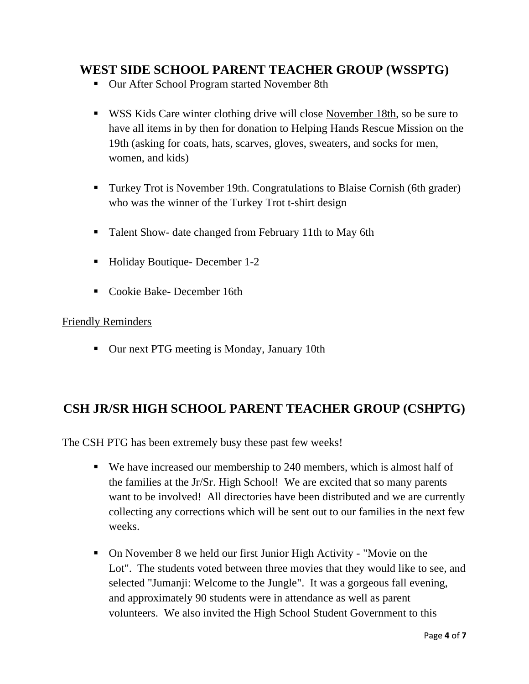### **WEST SIDE SCHOOL PARENT TEACHER GROUP (WSSPTG)**

- Our After School Program started November 8th
- WSS Kids Care winter clothing drive will close November 18th, so be sure to have all items in by then for donation to Helping Hands Rescue Mission on the 19th (asking for coats, hats, scarves, gloves, sweaters, and socks for men, women, and kids)
- Turkey Trot is November 19th. Congratulations to Blaise Cornish (6th grader) who was the winner of the Turkey Trot t-shirt design
- Talent Show- date changed from February 11th to May 6th
- Holiday Boutique- December 1-2
- Cookie Bake- December 16th

#### Friendly Reminders

■ Our next PTG meeting is Monday, January 10th

## **CSH JR/SR HIGH SCHOOL PARENT TEACHER GROUP (CSHPTG)**

The CSH PTG has been extremely busy these past few weeks!

- We have increased our membership to 240 members, which is almost half of the families at the Jr/Sr. High School! We are excited that so many parents want to be involved! All directories have been distributed and we are currently collecting any corrections which will be sent out to our families in the next few weeks.
- On November 8 we held our first Junior High Activity "Movie on the Lot". The students voted between three movies that they would like to see, and selected "Jumanji: Welcome to the Jungle". It was a gorgeous fall evening, and approximately 90 students were in attendance as well as parent volunteers. We also invited the High School Student Government to this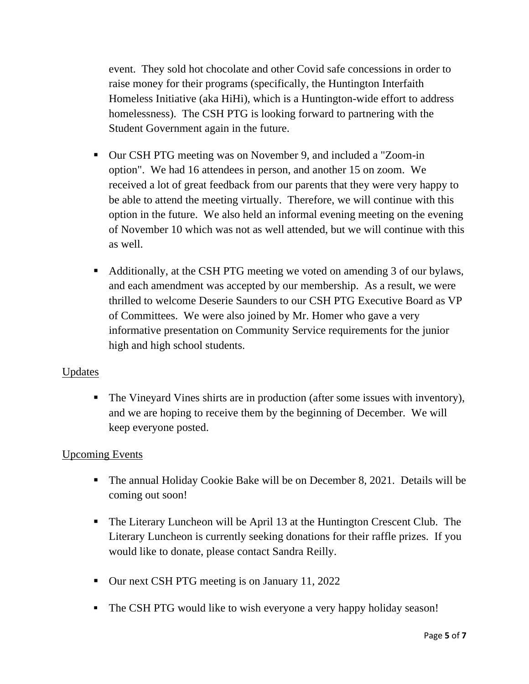event. They sold hot chocolate and other Covid safe concessions in order to raise money for their programs (specifically, the Huntington Interfaith Homeless Initiative (aka HiHi), which is a Huntington-wide effort to address homelessness). The CSH PTG is looking forward to partnering with the Student Government again in the future.

- Our CSH PTG meeting was on November 9, and included a "Zoom-in" option". We had 16 attendees in person, and another 15 on zoom. We received a lot of great feedback from our parents that they were very happy to be able to attend the meeting virtually. Therefore, we will continue with this option in the future. We also held an informal evening meeting on the evening of November 10 which was not as well attended, but we will continue with this as well.
- Additionally, at the CSH PTG meeting we voted on amending 3 of our bylaws, and each amendment was accepted by our membership. As a result, we were thrilled to welcome Deserie Saunders to our CSH PTG Executive Board as VP of Committees. We were also joined by Mr. Homer who gave a very informative presentation on Community Service requirements for the junior high and high school students.

#### Updates

■ The Vineyard Vines shirts are in production (after some issues with inventory), and we are hoping to receive them by the beginning of December. We will keep everyone posted.

#### Upcoming Events

- The annual Holiday Cookie Bake will be on December 8, 2021. Details will be coming out soon!
- The Literary Luncheon will be April 13 at the Huntington Crescent Club. The Literary Luncheon is currently seeking donations for their raffle prizes. If you would like to donate, please contact Sandra Reilly.
- Our next CSH PTG meeting is on January 11, 2022
- The CSH PTG would like to wish everyone a very happy holiday season!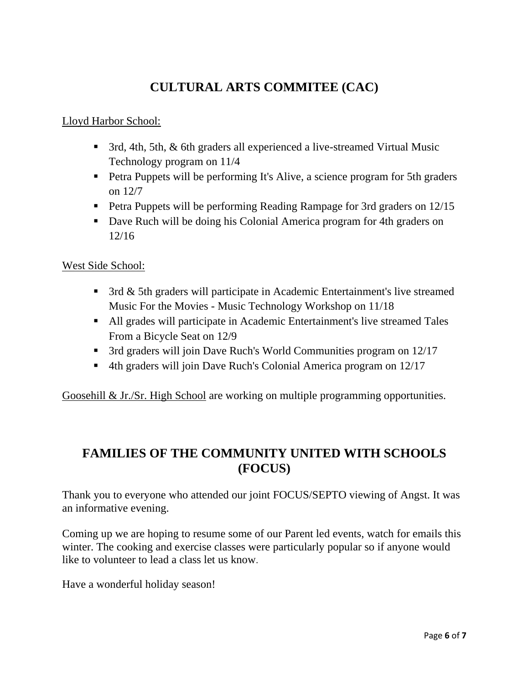# **CULTURAL ARTS COMMITEE (CAC)**

#### Lloyd Harbor School:

- 3rd, 4th, 5th, & 6th graders all experienced a live-streamed Virtual Music Technology program on 11/4
- **•** Petra Puppets will be performing It's Alive, a science program for 5th graders on 12/7
- **Petra Puppets will be performing Reading Rampage for 3rd graders on 12/15**
- Dave Ruch will be doing his Colonial America program for 4th graders on 12/16

#### West Side School:

- 3rd & 5th graders will participate in Academic Entertainment's live streamed Music For the Movies - Music Technology Workshop on 11/18
- All grades will participate in Academic Entertainment's live streamed Tales From a Bicycle Seat on 12/9
- 3rd graders will join Dave Ruch's World Communities program on 12/17
- 4th graders will join Dave Ruch's Colonial America program on 12/17

Goosehill & Jr./Sr. High School are working on multiple programming opportunities.

### **FAMILIES OF THE COMMUNITY UNITED WITH SCHOOLS (FOCUS)**

Thank you to everyone who attended our joint FOCUS/SEPTO viewing of Angst. It was an informative evening.

Coming up we are hoping to resume some of our Parent led events, watch for emails this winter. The cooking and exercise classes were particularly popular so if anyone would like to volunteer to lead a class let us know.

Have a wonderful holiday season!